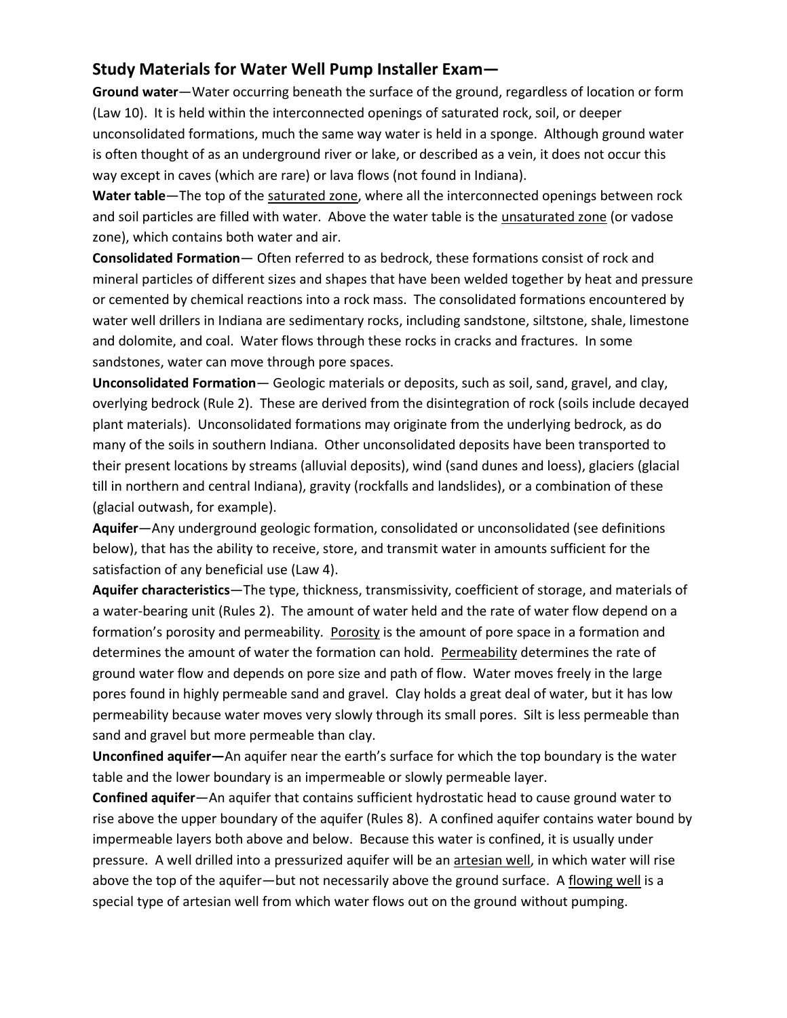## **Study Materials for Water Well Pump Installer Exam—**

**Ground water**—Water occurring beneath the surface of the ground, regardless of location or form (Law 10). It is held within the interconnected openings of saturated rock, soil, or deeper unconsolidated formations, much the same way water is held in a sponge. Although ground water is often thought of as an underground river or lake, or described as a vein, it does not occur this way except in caves (which are rare) or lava flows (not found in Indiana).

**Water table**—The top of the saturated zone, where all the interconnected openings between rock and soil particles are filled with water. Above the water table is the unsaturated zone (or vadose zone), which contains both water and air.

**Consolidated Formation**— Often referred to as bedrock, these formations consist of rock and mineral particles of different sizes and shapes that have been welded together by heat and pressure or cemented by chemical reactions into a rock mass. The consolidated formations encountered by water well drillers in Indiana are sedimentary rocks, including sandstone, siltstone, shale, limestone and dolomite, and coal. Water flows through these rocks in cracks and fractures. In some sandstones, water can move through pore spaces.

**Unconsolidated Formation**— Geologic materials or deposits, such as soil, sand, gravel, and clay, overlying bedrock (Rule 2). These are derived from the disintegration of rock (soils include decayed plant materials). Unconsolidated formations may originate from the underlying bedrock, as do many of the soils in southern Indiana. Other unconsolidated deposits have been transported to their present locations by streams (alluvial deposits), wind (sand dunes and loess), glaciers (glacial till in northern and central Indiana), gravity (rockfalls and landslides), or a combination of these (glacial outwash, for example).

**Aquifer**—Any underground geologic formation, consolidated or unconsolidated (see definitions below), that has the ability to receive, store, and transmit water in amounts sufficient for the satisfaction of any beneficial use (Law 4).

**Aquifer characteristics**—The type, thickness, transmissivity, coefficient of storage, and materials of a water-bearing unit (Rules 2). The amount of water held and the rate of water flow depend on a formation's porosity and permeability. Porosity is the amount of pore space in a formation and determines the amount of water the formation can hold. Permeability determines the rate of ground water flow and depends on pore size and path of flow. Water moves freely in the large pores found in highly permeable sand and gravel. Clay holds a great deal of water, but it has low permeability because water moves very slowly through its small pores. Silt is less permeable than sand and gravel but more permeable than clay.

**Unconfined aquifer—**An aquifer near the earth's surface for which the top boundary is the water table and the lower boundary is an impermeable or slowly permeable layer.

**Confined aquifer**—An aquifer that contains sufficient hydrostatic head to cause ground water to rise above the upper boundary of the aquifer (Rules 8). A confined aquifer contains water bound by impermeable layers both above and below. Because this water is confined, it is usually under pressure. A well drilled into a pressurized aquifer will be an artesian well, in which water will rise above the top of the aquifer—but not necessarily above the ground surface. A flowing well is a special type of artesian well from which water flows out on the ground without pumping.